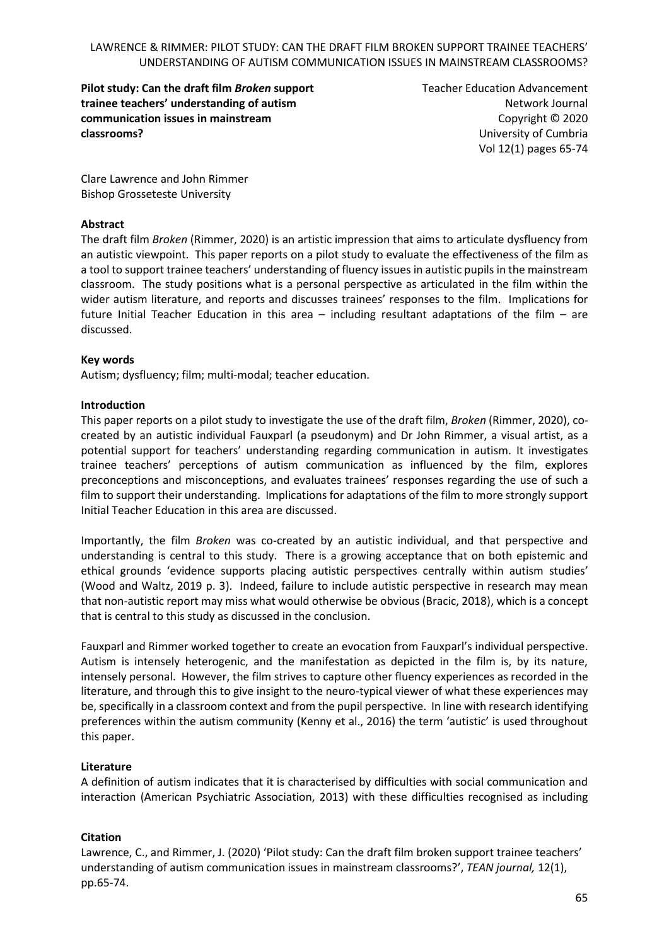**Pilot study: Can the draft film** *Broken* **support trainee teachers' understanding of autism communication issues in mainstream classrooms?**

Teacher Education Advancement Network Journal Copyright © 2020 University of Cumbria Vol 12(1) pages 65-74

Clare Lawrence and John Rimmer Bishop Grosseteste University

### **Abstract**

The draft film *Broken* (Rimmer, 2020) is an artistic impression that aims to articulate dysfluency from an autistic viewpoint. This paper reports on a pilot study to evaluate the effectiveness of the film as a tool to support trainee teachers' understanding of fluency issues in autistic pupils in the mainstream classroom. The study positions what is a personal perspective as articulated in the film within the wider autism literature, and reports and discusses trainees' responses to the film. Implications for future Initial Teacher Education in this area – including resultant adaptations of the film – are discussed.

### **Key words**

Autism; dysfluency; film; multi-modal; teacher education.

#### **Introduction**

This paper reports on a pilot study to investigate the use of the draft film, *Broken* (Rimmer, 2020), cocreated by an autistic individual Fauxparl (a pseudonym) and Dr John Rimmer, a visual artist, as a potential support for teachers' understanding regarding communication in autism. It investigates trainee teachers' perceptions of autism communication as influenced by the film, explores preconceptions and misconceptions, and evaluates trainees' responses regarding the use of such a film to support their understanding. Implications for adaptations of the film to more strongly support Initial Teacher Education in this area are discussed.

Importantly, the film *Broken* was co-created by an autistic individual, and that perspective and understanding is central to this study. There is a growing acceptance that on both epistemic and ethical grounds 'evidence supports placing autistic perspectives centrally within autism studies' (Wood and Waltz, 2019 p. 3). Indeed, failure to include autistic perspective in research may mean that non-autistic report may miss what would otherwise be obvious (Bracic, 2018), which is a concept that is central to this study as discussed in the conclusion.

Fauxparl and Rimmer worked together to create an evocation from Fauxparl's individual perspective. Autism is intensely heterogenic, and the manifestation as depicted in the film is, by its nature, intensely personal. However, the film strives to capture other fluency experiences as recorded in the literature, and through this to give insight to the neuro-typical viewer of what these experiences may be, specifically in a classroom context and from the pupil perspective. In line with research identifying preferences within the autism community (Kenny et al., 2016) the term 'autistic' is used throughout this paper.

### **Literature**

A definition of autism indicates that it is characterised by difficulties with social communication and interaction (American Psychiatric Association, 2013) with these difficulties recognised as including

### **Citation**

Lawrence, C., and Rimmer, J. (2020) 'Pilot study: Can the draft film broken support trainee teachers' understanding of autism communication issues in mainstream classrooms?', *TEAN journal,* 12(1), pp.65-74.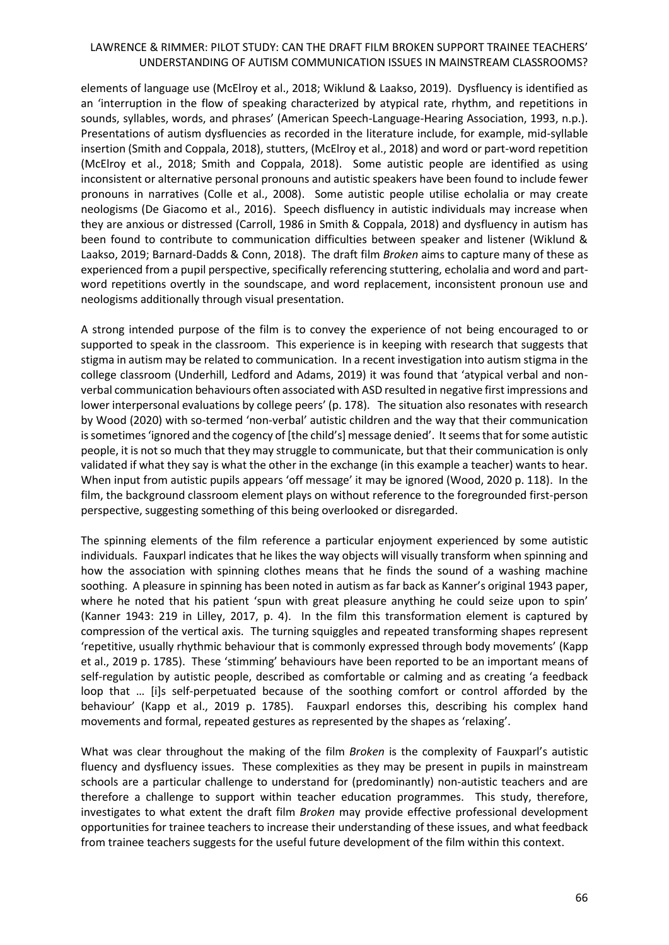elements of language use (McElroy et al., 2018; Wiklund & Laakso, 2019). Dysfluency is identified as an 'interruption in the flow of speaking characterized by atypical rate, rhythm, and repetitions in sounds, syllables, words, and phrases' (American Speech-Language-Hearing Association, 1993, n.p.). Presentations of autism dysfluencies as recorded in the literature include, for example, mid-syllable insertion (Smith and Coppala, 2018), stutters, (McElroy et al., 2018) and word or part-word repetition (McElroy et al., 2018; Smith and Coppala, 2018). Some autistic people are identified as using inconsistent or alternative personal pronouns and autistic speakers have been found to include fewer pronouns in narratives (Colle et al., 2008). Some autistic people utilise echolalia or may create neologisms (De Giacomo et al., 2016). Speech disfluency in autistic individuals may increase when they are anxious or distressed (Carroll, 1986 in Smith & Coppala, 2018) and dysfluency in autism has been found to contribute to communication difficulties between speaker and listener (Wiklund & Laakso, 2019; Barnard‐Dadds & Conn, 2018). The draft film *Broken* aims to capture many of these as experienced from a pupil perspective, specifically referencing stuttering, echolalia and word and partword repetitions overtly in the soundscape, and word replacement, inconsistent pronoun use and neologisms additionally through visual presentation.

A strong intended purpose of the film is to convey the experience of not being encouraged to or supported to speak in the classroom. This experience is in keeping with research that suggests that stigma in autism may be related to communication. In a recent investigation into autism stigma in the college classroom (Underhill, Ledford and Adams, 2019) it was found that 'atypical verbal and nonverbal communication behaviours often associated with ASD resulted in negative first impressions and lower interpersonal evaluations by college peers' (p. 178). The situation also resonates with research by Wood (2020) with so-termed 'non-verbal' autistic children and the way that their communication is sometimes 'ignored and the cogency of [the child's] message denied'. It seems that for some autistic people, it is not so much that they may struggle to communicate, but that their communication is only validated if what they say is what the other in the exchange (in this example a teacher) wants to hear. When input from autistic pupils appears 'off message' it may be ignored (Wood, 2020 p. 118). In the film, the background classroom element plays on without reference to the foregrounded first-person perspective, suggesting something of this being overlooked or disregarded.

The spinning elements of the film reference a particular enjoyment experienced by some autistic individuals. Fauxparl indicates that he likes the way objects will visually transform when spinning and how the association with spinning clothes means that he finds the sound of a washing machine soothing. A pleasure in spinning has been noted in autism as far back as Kanner's original 1943 paper, where he noted that his patient 'spun with great pleasure anything he could seize upon to spin' (Kanner 1943: 219 in Lilley, 2017, p. 4). In the film this transformation element is captured by compression of the vertical axis. The turning squiggles and repeated transforming shapes represent 'repetitive, usually rhythmic behaviour that is commonly expressed through body movements' (Kapp et al., 2019 p. 1785). These 'stimming' behaviours have been reported to be an important means of self-regulation by autistic people, described as comfortable or calming and as creating 'a feedback loop that … [i]s self-perpetuated because of the soothing comfort or control afforded by the behaviour' (Kapp et al., 2019 p. 1785). Fauxparl endorses this, describing his complex hand movements and formal, repeated gestures as represented by the shapes as 'relaxing'.

What was clear throughout the making of the film *Broken* is the complexity of Fauxparl's autistic fluency and dysfluency issues. These complexities as they may be present in pupils in mainstream schools are a particular challenge to understand for (predominantly) non-autistic teachers and are therefore a challenge to support within teacher education programmes. This study, therefore, investigates to what extent the draft film *Broken* may provide effective professional development opportunities for trainee teachers to increase their understanding of these issues, and what feedback from trainee teachers suggests for the useful future development of the film within this context.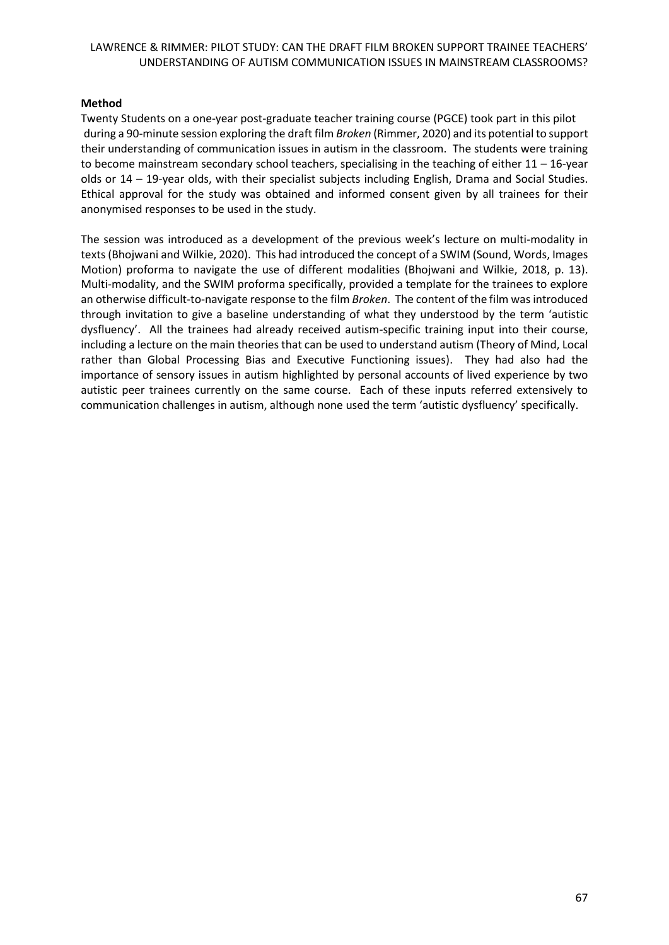### **Method**

Twenty Students on a one-year post-graduate teacher training course (PGCE) took part in this pilot during a 90-minute session exploring the draft film *Broken* (Rimmer, 2020) and its potential to support their understanding of communication issues in autism in the classroom. The students were training to become mainstream secondary school teachers, specialising in the teaching of either 11 – 16-year olds or 14 – 19-year olds, with their specialist subjects including English, Drama and Social Studies. Ethical approval for the study was obtained and informed consent given by all trainees for their anonymised responses to be used in the study.

The session was introduced as a development of the previous week's lecture on multi-modality in texts(Bhojwani and Wilkie, 2020). This had introduced the concept of a SWIM (Sound, Words, Images Motion) proforma to navigate the use of different modalities (Bhojwani and Wilkie, 2018, p. 13). Multi-modality, and the SWIM proforma specifically, provided a template for the trainees to explore an otherwise difficult-to-navigate response to the film *Broken*. The content of the film was introduced through invitation to give a baseline understanding of what they understood by the term 'autistic dysfluency'. All the trainees had already received autism-specific training input into their course, including a lecture on the main theories that can be used to understand autism (Theory of Mind, Local rather than Global Processing Bias and Executive Functioning issues). They had also had the importance of sensory issues in autism highlighted by personal accounts of lived experience by two autistic peer trainees currently on the same course. Each of these inputs referred extensively to communication challenges in autism, although none used the term 'autistic dysfluency' specifically.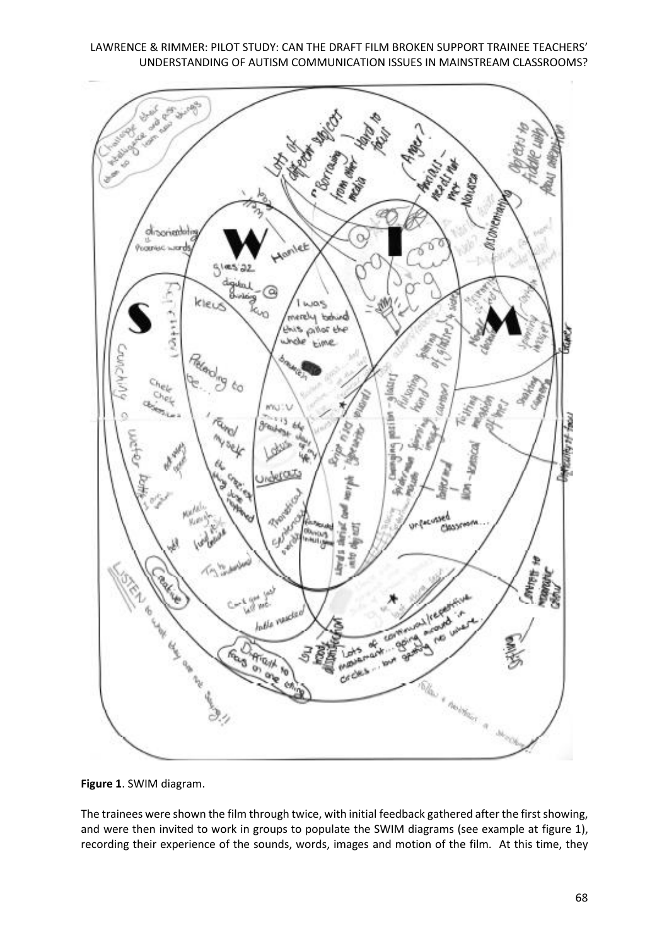

**Figure 1**. SWIM diagram.

The trainees were shown the film through twice, with initial feedback gathered after the first showing, and were then invited to work in groups to populate the SWIM diagrams (see example at figure 1), recording their experience of the sounds, words, images and motion of the film. At this time, they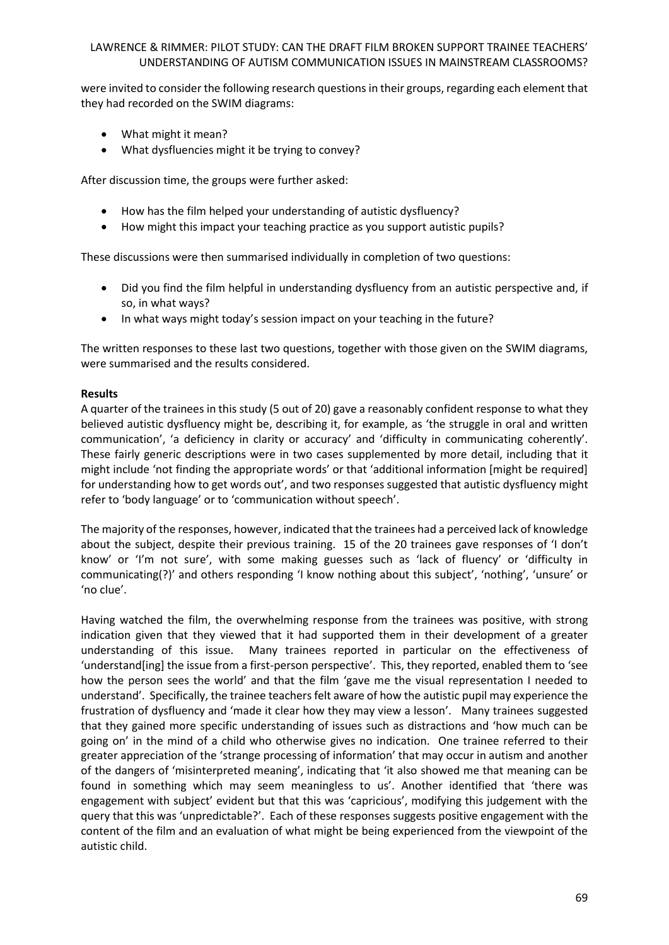were invited to consider the following research questions in their groups, regarding each element that they had recorded on the SWIM diagrams:

- What might it mean?
- What dysfluencies might it be trying to convey?

After discussion time, the groups were further asked:

- How has the film helped your understanding of autistic dysfluency?
- How might this impact your teaching practice as you support autistic pupils?

These discussions were then summarised individually in completion of two questions:

- Did you find the film helpful in understanding dysfluency from an autistic perspective and, if so, in what ways?
- In what ways might today's session impact on your teaching in the future?

The written responses to these last two questions, together with those given on the SWIM diagrams, were summarised and the results considered.

### **Results**

A quarter of the trainees in this study (5 out of 20) gave a reasonably confident response to what they believed autistic dysfluency might be, describing it, for example, as 'the struggle in oral and written communication', 'a deficiency in clarity or accuracy' and 'difficulty in communicating coherently'. These fairly generic descriptions were in two cases supplemented by more detail, including that it might include 'not finding the appropriate words' or that 'additional information [might be required] for understanding how to get words out', and two responses suggested that autistic dysfluency might refer to 'body language' or to 'communication without speech'.

The majority of the responses, however, indicated that the trainees had a perceived lack of knowledge about the subject, despite their previous training. 15 of the 20 trainees gave responses of 'I don't know' or 'I'm not sure', with some making guesses such as 'lack of fluency' or 'difficulty in communicating(?)' and others responding 'I know nothing about this subject', 'nothing', 'unsure' or 'no clue'.

Having watched the film, the overwhelming response from the trainees was positive, with strong indication given that they viewed that it had supported them in their development of a greater understanding of this issue. Many trainees reported in particular on the effectiveness of 'understand[ing] the issue from a first-person perspective'. This, they reported, enabled them to 'see how the person sees the world' and that the film 'gave me the visual representation I needed to understand'. Specifically, the trainee teachers felt aware of how the autistic pupil may experience the frustration of dysfluency and 'made it clear how they may view a lesson'. Many trainees suggested that they gained more specific understanding of issues such as distractions and 'how much can be going on' in the mind of a child who otherwise gives no indication. One trainee referred to their greater appreciation of the 'strange processing of information' that may occur in autism and another of the dangers of 'misinterpreted meaning', indicating that 'it also showed me that meaning can be found in something which may seem meaningless to us'. Another identified that 'there was engagement with subject' evident but that this was 'capricious', modifying this judgement with the query that this was 'unpredictable?'. Each of these responses suggests positive engagement with the content of the film and an evaluation of what might be being experienced from the viewpoint of the autistic child.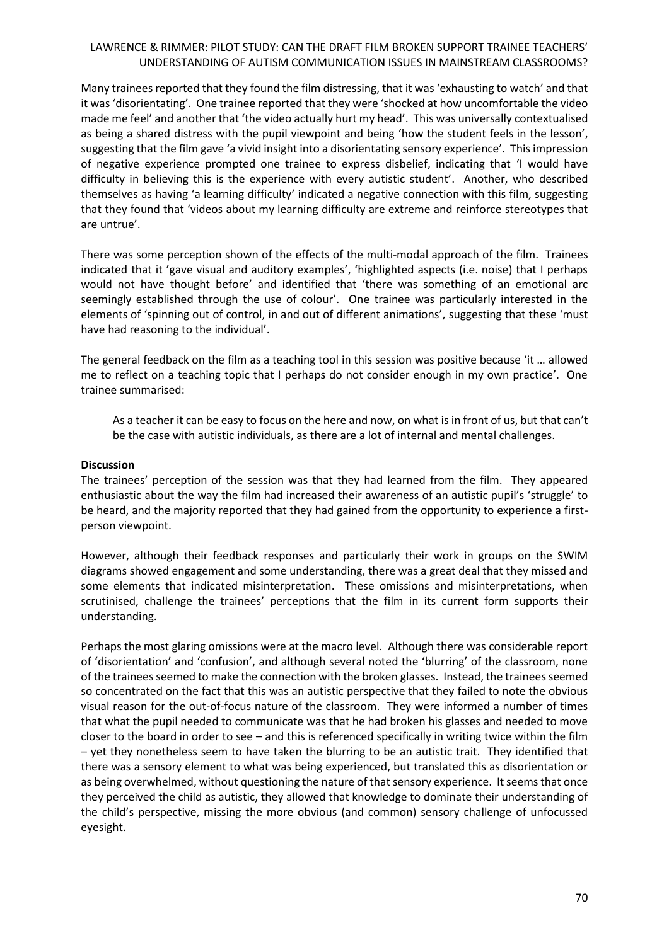Many trainees reported that they found the film distressing, that it was 'exhausting to watch' and that it was 'disorientating'. One trainee reported that they were 'shocked at how uncomfortable the video made me feel' and another that 'the video actually hurt my head'. This was universally contextualised as being a shared distress with the pupil viewpoint and being 'how the student feels in the lesson', suggesting that the film gave 'a vivid insight into a disorientating sensory experience'. This impression of negative experience prompted one trainee to express disbelief, indicating that 'I would have difficulty in believing this is the experience with every autistic student'. Another, who described themselves as having 'a learning difficulty' indicated a negative connection with this film, suggesting that they found that 'videos about my learning difficulty are extreme and reinforce stereotypes that are untrue'.

There was some perception shown of the effects of the multi-modal approach of the film. Trainees indicated that it 'gave visual and auditory examples', 'highlighted aspects (i.e. noise) that I perhaps would not have thought before' and identified that 'there was something of an emotional arc seemingly established through the use of colour'. One trainee was particularly interested in the elements of 'spinning out of control, in and out of different animations', suggesting that these 'must have had reasoning to the individual'.

The general feedback on the film as a teaching tool in this session was positive because 'it … allowed me to reflect on a teaching topic that I perhaps do not consider enough in my own practice'. One trainee summarised:

As a teacher it can be easy to focus on the here and now, on what is in front of us, but that can't be the case with autistic individuals, as there are a lot of internal and mental challenges.

### **Discussion**

The trainees' perception of the session was that they had learned from the film. They appeared enthusiastic about the way the film had increased their awareness of an autistic pupil's 'struggle' to be heard, and the majority reported that they had gained from the opportunity to experience a firstperson viewpoint.

However, although their feedback responses and particularly their work in groups on the SWIM diagrams showed engagement and some understanding, there was a great deal that they missed and some elements that indicated misinterpretation. These omissions and misinterpretations, when scrutinised, challenge the trainees' perceptions that the film in its current form supports their understanding.

Perhaps the most glaring omissions were at the macro level. Although there was considerable report of 'disorientation' and 'confusion', and although several noted the 'blurring' of the classroom, none of the trainees seemed to make the connection with the broken glasses. Instead, the trainees seemed so concentrated on the fact that this was an autistic perspective that they failed to note the obvious visual reason for the out-of-focus nature of the classroom. They were informed a number of times that what the pupil needed to communicate was that he had broken his glasses and needed to move closer to the board in order to see – and this is referenced specifically in writing twice within the film – yet they nonetheless seem to have taken the blurring to be an autistic trait. They identified that there was a sensory element to what was being experienced, but translated this as disorientation or as being overwhelmed, without questioning the nature of that sensory experience. It seems that once they perceived the child as autistic, they allowed that knowledge to dominate their understanding of the child's perspective, missing the more obvious (and common) sensory challenge of unfocussed eyesight.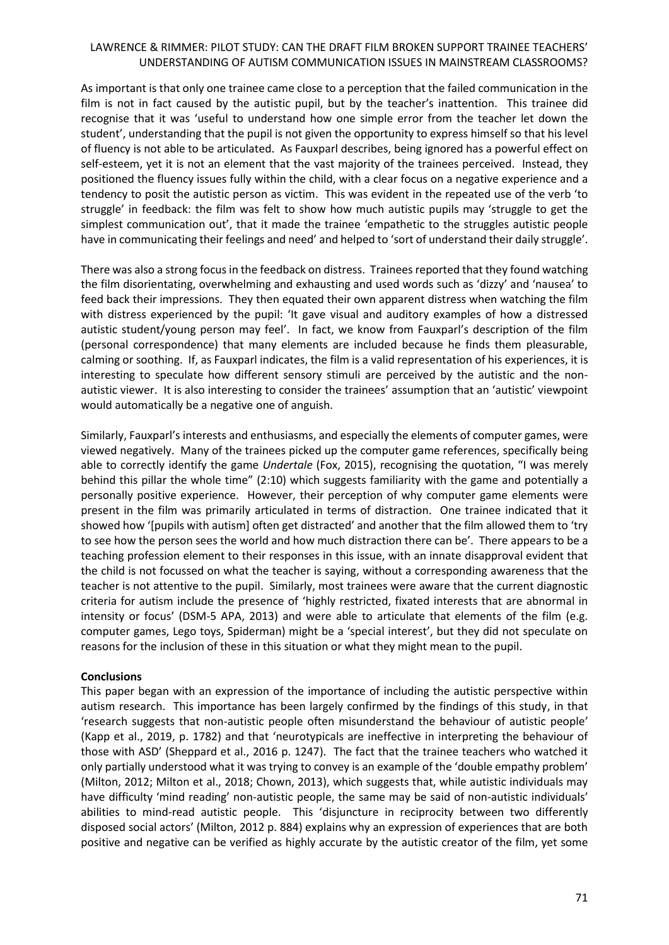As important is that only one trainee came close to a perception that the failed communication in the film is not in fact caused by the autistic pupil, but by the teacher's inattention. This trainee did recognise that it was 'useful to understand how one simple error from the teacher let down the student', understanding that the pupil is not given the opportunity to express himself so that his level of fluency is not able to be articulated. As Fauxparl describes, being ignored has a powerful effect on self-esteem, yet it is not an element that the vast majority of the trainees perceived. Instead, they positioned the fluency issues fully within the child, with a clear focus on a negative experience and a tendency to posit the autistic person as victim. This was evident in the repeated use of the verb 'to struggle' in feedback: the film was felt to show how much autistic pupils may 'struggle to get the simplest communication out', that it made the trainee 'empathetic to the struggles autistic people have in communicating their feelings and need' and helped to 'sort of understand their daily struggle'.

There was also a strong focus in the feedback on distress. Trainees reported that they found watching the film disorientating, overwhelming and exhausting and used words such as 'dizzy' and 'nausea' to feed back their impressions. They then equated their own apparent distress when watching the film with distress experienced by the pupil: 'It gave visual and auditory examples of how a distressed autistic student/young person may feel'. In fact, we know from Fauxparl's description of the film (personal correspondence) that many elements are included because he finds them pleasurable, calming or soothing. If, as Fauxparl indicates, the film is a valid representation of his experiences, it is interesting to speculate how different sensory stimuli are perceived by the autistic and the nonautistic viewer. It is also interesting to consider the trainees' assumption that an 'autistic' viewpoint would automatically be a negative one of anguish.

Similarly, Fauxparl's interests and enthusiasms, and especially the elements of computer games, were viewed negatively. Many of the trainees picked up the computer game references, specifically being able to correctly identify the game *Undertale* (Fox, 2015), recognising the quotation, "I was merely behind this pillar the whole time" (2:10) which suggests familiarity with the game and potentially a personally positive experience. However, their perception of why computer game elements were present in the film was primarily articulated in terms of distraction. One trainee indicated that it showed how '[pupils with autism] often get distracted' and another that the film allowed them to 'try to see how the person sees the world and how much distraction there can be'. There appears to be a teaching profession element to their responses in this issue, with an innate disapproval evident that the child is not focussed on what the teacher is saying, without a corresponding awareness that the teacher is not attentive to the pupil. Similarly, most trainees were aware that the current diagnostic criteria for autism include the presence of 'highly restricted, fixated interests that are abnormal in intensity or focus' (DSM-5 APA, 2013) and were able to articulate that elements of the film (e.g. computer games, Lego toys, Spiderman) might be a 'special interest', but they did not speculate on reasons for the inclusion of these in this situation or what they might mean to the pupil.

### **Conclusions**

This paper began with an expression of the importance of including the autistic perspective within autism research. This importance has been largely confirmed by the findings of this study, in that 'research suggests that non-autistic people often misunderstand the behaviour of autistic people' (Kapp et al., 2019, p. 1782) and that 'neurotypicals are ineffective in interpreting the behaviour of those with ASD' (Sheppard et al., 2016 p. 1247). The fact that the trainee teachers who watched it only partially understood what it was trying to convey is an example of the 'double empathy problem' (Milton, 2012; Milton et al., 2018; Chown, 2013), which suggests that, while autistic individuals may have difficulty 'mind reading' non-autistic people, the same may be said of non-autistic individuals' abilities to mind-read autistic people. This 'disjuncture in reciprocity between two differently disposed social actors' (Milton, 2012 p. 884) explains why an expression of experiences that are both positive and negative can be verified as highly accurate by the autistic creator of the film, yet some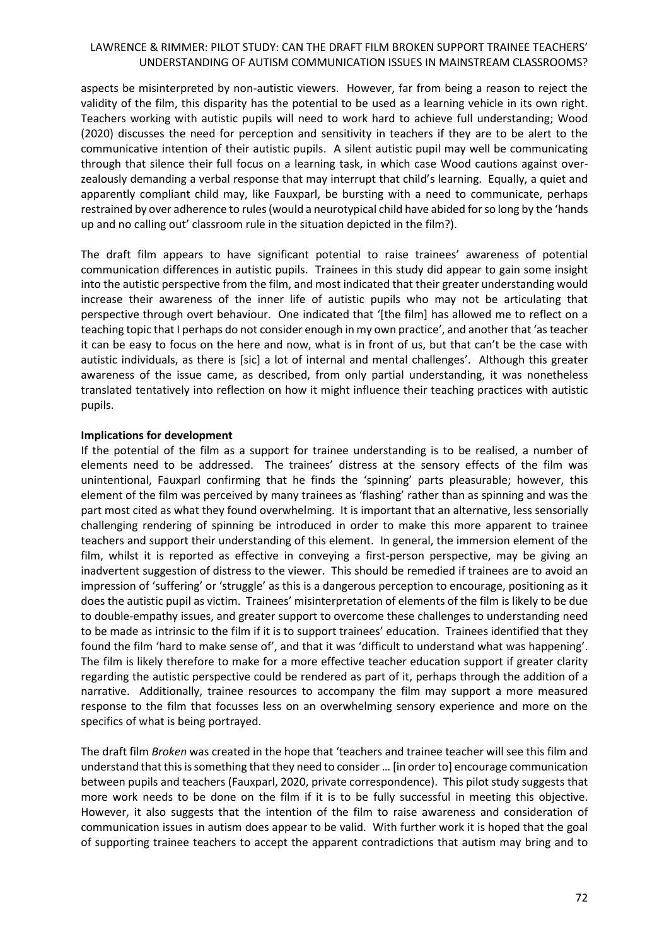aspects be misinterpreted by non-autistic viewers. However, far from being a reason to reject the validity of the film, this disparity has the potential to be used as a learning vehicle in its own right. Teachers working with autistic pupils will need to work hard to achieve full understanding; Wood (2020) discusses the need for perception and sensitivity in teachers if they are to be alert to the communicative intention of their autistic pupils. A silent autistic pupil may well be communicating through that silence their full focus on a learning task, in which case Wood cautions against overzealously demanding a verbal response that may interrupt that child's learning. Equally, a quiet and apparently compliant child may, like Fauxparl, be bursting with a need to communicate, perhaps restrained by over adherence to rules (would a neurotypical child have abided for so long by the 'hands up and no calling out' classroom rule in the situation depicted in the film?).

The draft film appears to have significant potential to raise trainees' awareness of potential communication differences in autistic pupils. Trainees in this study did appear to gain some insight into the autistic perspective from the film, and most indicated that their greater understanding would increase their awareness of the inner life of autistic pupils who may not be articulating that perspective through overt behaviour. One indicated that '[the film] has allowed me to reflect on a teaching topic that I perhaps do not consider enough in my own practice', and another that 'as teacher it can be easy to focus on the here and now, what is in front of us, but that can't be the case with autistic individuals, as there is [sic] a lot of internal and mental challenges'. Although this greater awareness of the issue came, as described, from only partial understanding, it was nonetheless translated tentatively into reflection on how it might influence their teaching practices with autistic pupils.

### **Implications for development**

If the potential of the film as a support for trainee understanding is to be realised, a number of elements need to be addressed. The trainees' distress at the sensory effects of the film was unintentional, Fauxparl confirming that he finds the 'spinning' parts pleasurable; however, this element of the film was perceived by many trainees as 'flashing' rather than as spinning and was the part most cited as what they found overwhelming. It is important that an alternative, less sensorially challenging rendering of spinning be introduced in order to make this more apparent to trainee teachers and support their understanding of this element. In general, the immersion element of the film, whilst it is reported as effective in conveying a first-person perspective, may be giving an inadvertent suggestion of distress to the viewer. This should be remedied if trainees are to avoid an impression of 'suffering' or 'struggle' as this is a dangerous perception to encourage, positioning as it does the autistic pupil as victim. Trainees' misinterpretation of elements of the film is likely to be due to double-empathy issues, and greater support to overcome these challenges to understanding need to be made as intrinsic to the film if it is to support trainees' education. Trainees identified that they found the film 'hard to make sense of', and that it was 'difficult to understand what was happening'. The film is likely therefore to make for a more effective teacher education support if greater clarity regarding the autistic perspective could be rendered as part of it, perhaps through the addition of a narrative. Additionally, trainee resources to accompany the film may support a more measured response to the film that focusses less on an overwhelming sensory experience and more on the specifics of what is being portrayed.

The draft film *Broken* was created in the hope that 'teachers and trainee teacher will see this film and understand that this is something that they need to consider … [in order to] encourage communication between pupils and teachers (Fauxparl, 2020, private correspondence). This pilot study suggests that more work needs to be done on the film if it is to be fully successful in meeting this objective. However, it also suggests that the intention of the film to raise awareness and consideration of communication issues in autism does appear to be valid. With further work it is hoped that the goal of supporting trainee teachers to accept the apparent contradictions that autism may bring and to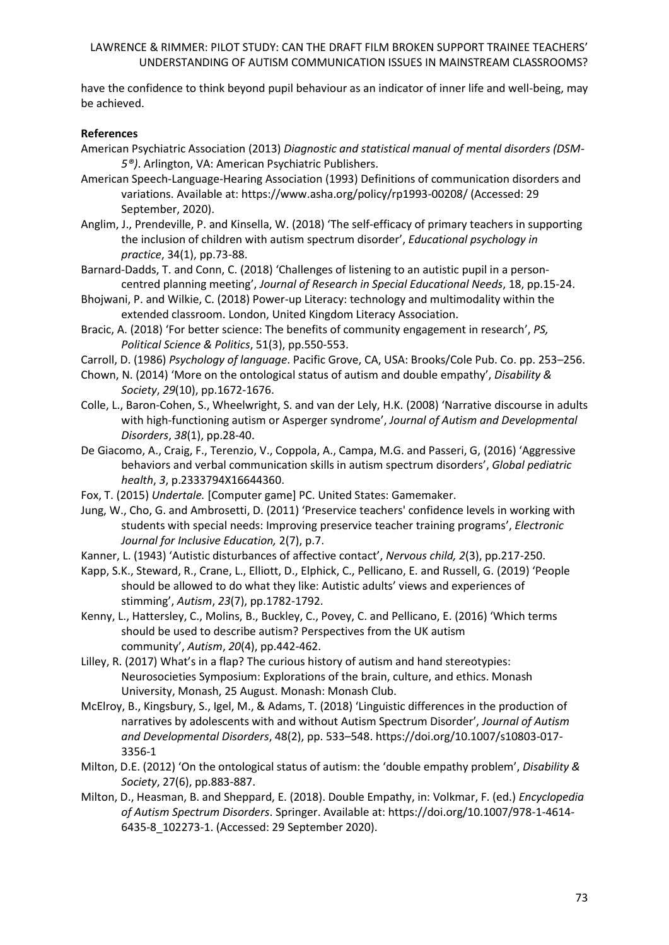have the confidence to think beyond pupil behaviour as an indicator of inner life and well-being, may be achieved.

### **References**

- American Psychiatric Association (2013) *Diagnostic and statistical manual of mental disorders (DSM-5®)*. Arlington, VA: American Psychiatric Publishers.
- American Speech-Language-Hearing Association (1993) Definitions of communication disorders and variations. Available at:<https://www.asha.org/policy/rp1993-00208/> (Accessed: 29 September, 2020).
- Anglim, J., Prendeville, P. and Kinsella, W. (2018) 'The self-efficacy of primary teachers in supporting the inclusion of children with autism spectrum disorder', *Educational psychology in practice*, 34(1), pp.73-88.
- Barnard‐Dadds, T. and Conn, C. (2018) 'Challenges of listening to an autistic pupil in a person‐ centred planning meeting', *Journal of Research in Special Educational Needs*, 18, pp.15-24.
- Bhojwani, P. and Wilkie, C. (2018) Power-up Literacy: technology and multimodality within the extended classroom. London, United Kingdom Literacy Association.
- Bracic, A. (2018) 'For better science: The benefits of community engagement in research', *PS, Political Science & Politics*, 51(3), pp.550-553.
- Carroll, D. (1986) *Psychology of language*. Pacific Grove, CA, USA: Brooks/Cole Pub. Co. pp. 253–256.
- Chown, N. (2014) 'More on the ontological status of autism and double empathy', *Disability & Society*, *29*(10), pp.1672-1676.
- Colle, L., Baron-Cohen, S., Wheelwright, S. and van der Lely, H.K. (2008) 'Narrative discourse in adults with high-functioning autism or Asperger syndrome', *Journal of Autism and Developmental Disorders*, *38*(1), pp.28-40.
- De Giacomo, A., Craig, F., Terenzio, V., Coppola, A., Campa, M.G. and Passeri, G, (2016) 'Aggressive behaviors and verbal communication skills in autism spectrum disorders', *Global pediatric health*, *3*, p.2333794X16644360.
- Fox, T. (2015) *Undertale.* [Computer game] PC. United States: Gamemaker.
- Jung, W., Cho, G. and Ambrosetti, D. (2011) 'Preservice teachers' confidence levels in working with students with special needs: Improving preservice teacher training programs', *Electronic Journal for Inclusive Education,* 2(7), p.7.
- Kanner, L. (1943) 'Autistic disturbances of affective contact', *Nervous child, 2*(3), pp.217-250.
- Kapp, S.K., Steward, R., Crane, L., Elliott, D., Elphick, C., Pellicano, E. and Russell, G. (2019) 'People should be allowed to do what they like: Autistic adults' views and experiences of stimming', *Autism*, *23*(7), pp.1782-1792.
- Kenny, L., Hattersley, C., Molins, B., Buckley, C., Povey, C. and Pellicano, E. (2016) 'Which terms should be used to describe autism? Perspectives from the UK autism community', *Autism*, *20*(4), pp.442-462.
- Lilley, R. (2017) What's in a flap? The curious history of autism and hand stereotypies: Neurosocieties Symposium: Explorations of the brain, culture, and ethics. Monash University, Monash, 25 August. Monash: Monash Club.
- McElroy, B., Kingsbury, S., Igel, M., & Adams, T. (2018) 'Linguistic differences in the production of narratives by adolescents with and without Autism Spectrum Disorder', *Journal of Autism and Developmental Disorders*, 48(2), pp. 533–548. [https://doi.org/10.1007/s10803-017-](https://doi.org/10.1007/s10803-017-3356-1) [3356-1](https://doi.org/10.1007/s10803-017-3356-1)
- Milton, D.E. (2012) 'On the ontological status of autism: the 'double empathy problem', *Disability & Society*, 27(6), pp.883-887.
- Milton, D., Heasman, B. and Sheppard, E. (2018). Double Empathy, in: Volkmar, F. (ed.) *Encyclopedia of Autism Spectrum Disorders*. Springer. Available at[: https://doi.org/10.1007/978-1-4614-](https://doi.org/10.1007/978-1-4614-6435-8_102273-1) [6435-8\\_102273-1.](https://doi.org/10.1007/978-1-4614-6435-8_102273-1) (Accessed: 29 September 2020).